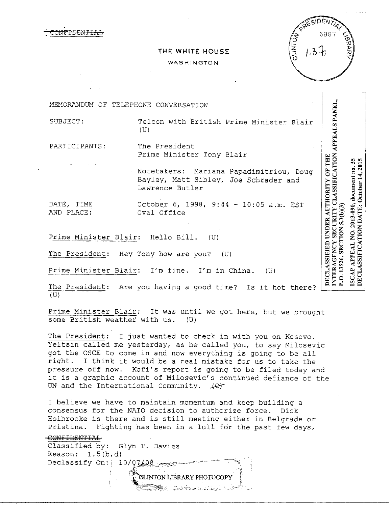

| PRESIDENTI <sub>AL</sub><br>$13 -$ |  |
|------------------------------------|--|
|                                    |  |

## **THE WHITE HOUSE**

## WASHINGTON

INTERAGENCY SECURITY CLASSIFICATION APPEALS PANEL,<br>E.O. 13526. SECTION 5.3(b)(3) MEMORANDUM OF TELEPHONE CONVERSATION SUBJECT: Telcon with British Prime Minister Blair (U) PARTICIPANTS: The President Prime Minister Tony Blair DECLASSIFIED UNDER AUTHORITY OF THE Notetakers: Mariana Papadimitriou, Doug Bayley, Matt Sibley, Joe Schrader and Lawrence Butler DATE, TIME 0ctober 6, 1998, 9:44 - 10:05 a.m. EST<br>AND PLACE: 0val Office O. 13526, SECTION 5.3(b)(3) Oval Office

Prime Minister Blair: Hello Bill. (U)

The President: Hey Tony how are you? (U)

Prime Minister Blair: I'm fine. I'm in China. (U)

The President: Are you having a good time? Is it hot there? (U)

Prime Minister Blair: It was until we got here, but we brought<br>some British weather with us. (U) some British weather with us.

The President: I just wanted to check in with you on Kosovo. Yeltsin called me yesterday, as he called you, to say Milosevic got the OSCE to come in and now everything is going to be all right. I think it would be a real mistake for us to take the pressure off now. Kofi's report is going to be filed today and it is a graphic account of Milosevic's continued defiance of the UN and the International Community.  $\text{Ler}$ 

I believe we have to maintain momentum and keep building a consensus for the NATO decision to authorize force. Dick Holbrooke is there and is still meeting either in Belgrade or Pristina. Fighting has been in a lull for the past few days,

- .·~,i~-~'"2:~.i\_;:i.,\_\_:\_ ,;.:.~-) :-~~~·; \_\_;..*:: ....\_* --~~\_.;\_,,.~-- .'' :.'~----~,>~ *:·* 

:i

CONFIDENTIAL Classified by: Glyn T. Davies Reason:  $1.5(b,d)$ Declassify On:  $i$  10/07/08 QUINTON LIBRARY PHOTOCOPY

DECLASSIFICATION DATE: October 14, 2015 ISCAP APPEAL NO. 2013-090, document no. 35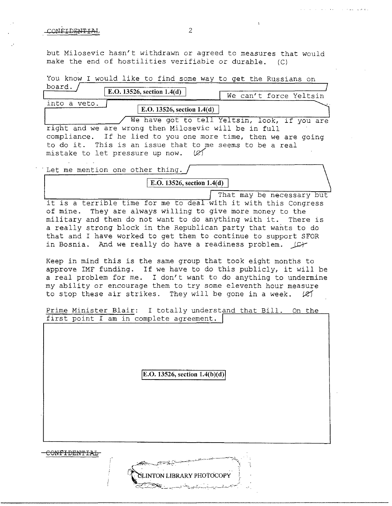## CONFIDENTIAL 2

 $\cdot$ 

but Milosevic hasn't withdrawn or agreed to measures that would make the end of hostilities verifiable or durable. (C)

| You know I would like to find some way to get the Russians on                                                                                                                                                                                                                                                                                                                                                                                                                                                                                                                                                                                                                                          |  |  |
|--------------------------------------------------------------------------------------------------------------------------------------------------------------------------------------------------------------------------------------------------------------------------------------------------------------------------------------------------------------------------------------------------------------------------------------------------------------------------------------------------------------------------------------------------------------------------------------------------------------------------------------------------------------------------------------------------------|--|--|
| board.<br>E.O. 13526, section $1.4(d)$                                                                                                                                                                                                                                                                                                                                                                                                                                                                                                                                                                                                                                                                 |  |  |
| We can't force Yeltsin<br>into a veto.                                                                                                                                                                                                                                                                                                                                                                                                                                                                                                                                                                                                                                                                 |  |  |
| E.O. 13526, section $1.4(d)$                                                                                                                                                                                                                                                                                                                                                                                                                                                                                                                                                                                                                                                                           |  |  |
| We have got to tell Yeltsin, look, if you are<br>right and we are wrong then Milosevic will be in full<br>If he lied to you one more time, then we are going<br>compliance.<br>to do it. This is an issue that to me seems to be a real<br>mistake to let pressure up now.                                                                                                                                                                                                                                                                                                                                                                                                                             |  |  |
| Let me mention one other thing.                                                                                                                                                                                                                                                                                                                                                                                                                                                                                                                                                                                                                                                                        |  |  |
| E.O. 13526, section $1.4(d)$                                                                                                                                                                                                                                                                                                                                                                                                                                                                                                                                                                                                                                                                           |  |  |
| That may be necessary but<br>it is a terrible time for me to deal with it with this Congress<br>of mine. They are always willing to give more money to the<br>military and then do not want to do anything with it. There is<br>a really strong block in the Republican party that wants to do<br>that and I have worked to get them to continue to support SFOR<br>in Bosnia. And we really do have a readiness problem. (C)<br>Keep in mind this is the same group that took eight months to<br>approve IMF funding. If we have to do this publicly, it will be<br>a real problem for me. I don't want to do anything to undermine<br>my ability or encourage them to try some eleventh hour measure |  |  |
| to stop these air strikes. They will be gone in a week. $(2)$<br>Prime Minister Blair: I totally understand that Bill. On the<br>first point I am in complete agreement.                                                                                                                                                                                                                                                                                                                                                                                                                                                                                                                               |  |  |
| E.O. 13526, section $1.4(b)(d)$                                                                                                                                                                                                                                                                                                                                                                                                                                                                                                                                                                                                                                                                        |  |  |
| INTON LIBRARY PHOTOCOPY                                                                                                                                                                                                                                                                                                                                                                                                                                                                                                                                                                                                                                                                                |  |  |

 $\Lambda$  .

المقاهش كساح المراكب والمحارب والمراكبات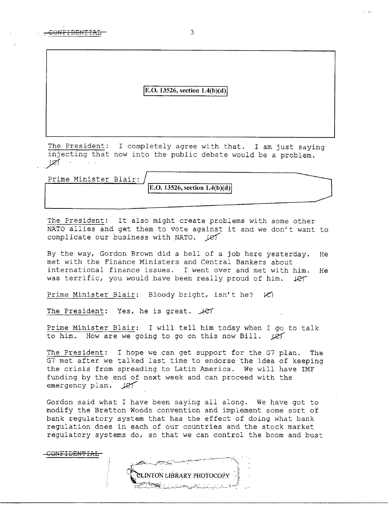**[E.O. 13526, section 1.4(b)(d)** 

The President: I completely agree with that. I am just saying injecting that now into the public debate would be a problem. *.Y4* 

Prime Minister Blair:

CONF<del>IDENTIAL</del>

**E.O. 13526, section 1.4(b)(d)** 

The President: It also might create problems with some other Incorrespondent: The aiso might cleate problems with some other<br>NATO allies and get them to vote against it and we don't want to complicate our business with NATO. (e)

By the way, Gordon Brown did a hell of a job here yesterday. He met with the Finance Ministers and Central Bankers about international finance issues. I went over and met with him. He was terrific, you would have been really proud of him. Let

Prime Minister Blair: Bloody bright, isn't he?  $\langle \mathcal{C} \rangle$ 

The President: Yes, he is great.  $\sqrt{CT}$ 

Prime Minister Blair: I will tell him today when I go to talk to him. How are we going to go on this now Bill. *JR'(* 

The President: I hope we can get support for the G7 plan. The G7 met after we talked last time to endorse the idea of keeping the crisis from spreading to Latin America. We will have IMF funding by the end of next week and can proceed with the emergency plan.  $\angle$ e $\sqrt$ 

Gordon said what I have been saying all along. We have got to modify the Bretton Woods convention and implement some sort of bank regulatory system that has the effect of doing what bank regulation does in each of our countries and the stock market regulatory systems do, so that we can control the boom and bust

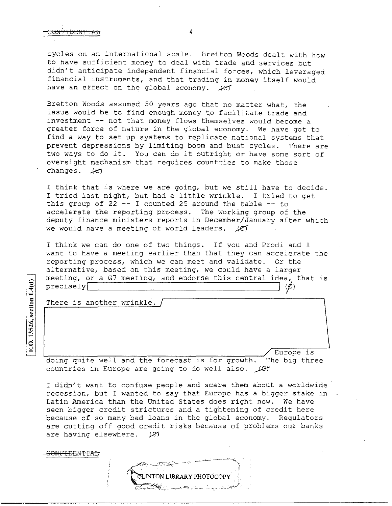cycles on an international scale. Bretton Woods dealt with how to have sufficient money to deal with trade and services but didn't anticipate independent financial forces, which leveraged financial instruments, and that trading in money itself would have an effect on the global economy.  $\sqrt{e\gamma}$ 

Bretton Woods assumed 50 years ago that no matter what, the issue would be to find enough money to facilitate trade and investment -- not that money flows themselves would become a greater force of nature in the global economy. We have got to find a way to set up systems to replicate national systems that prevent depressions by limiting boom and bust cycles. There are two ways to do it. You can do it outright or have some sort of oversight.mechanism that requires countries to make those changes.  $\angle$ et

I think that is where we are going, but we still have to decide. I tried last night, but had a little wrinkle. I tried to get this group of 22  $-$  I counted 25 around the table  $-$  to accelerate the reporting process. The working group of the deputy finance ministers reports *in* December/January after which we would have a meeting of world leaders.  $\angle$ ef

I think we can do one of two things. If you and Prodi and I want to have a meeting earlier than that they can accelerate the reporting process, which we can meet and validate. Or the alternative, based on this meeting, we could have a larger meeting, or a G7 meeting, and endorse this central idea, that is meeting, of a G/ meeting, and endofse this central idea,<br>precisely  $(2)$ 

There is another wrinkle.

<del>CONFIDENTIAL</del>

E.O. 13526, section 1.4(d)

Europe is doing quite well and the forecast is for growth. The big three countries in Europe are going to do well also.  $\mathcal{L}$ 

I didn't want to confuse people and scare them about a worldwide recession, but I wanted to say that Europe has a bigger stake in Latin America than the United States does right now. We have seen bigger credit strictures and a tightening of *credit* here because of so many bad loans in the global economy. Regulators are cutting off good credit risks because of problems our banks are having elsewhere.  $\cancel{C}$ 

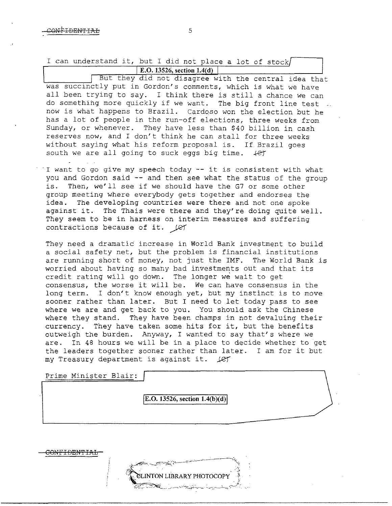I can understand it, but I did not place a lot of stock **E.O. 13526, section 1.4(d)** 

But they did not disagree with the central idea that was succinctly put in Gordon's comments, which is what we have all been trying to say. I think there is still a chance we can do something more quickly if we want. The big front line test now is what happens to Brazil. Cardoso won the election but he has a lot of people in the run-off elections, three weeks from Sunday, or whenever. They have less than \$40 billion in cash reserves now, and I don't think he can stall for three weeks without saying what his reform proposal is. If. Brazil goes south we are all going to suck eggs big time.  $\#$ 

I want to go give my speech today  $-$  it is consistent with what you and Gordon said -- and then see what the status of the group is. Then, we'll see if we should have the G7 or some other group meeting where everybody gets together and endorses the idea. The developing countries were there and not one spoke against it. The Thais were there and they're doing quite well. They seem to be in harness on interim measures and suffering contractions because of it. *Let* 

They need a dramatic increase in World Bank investment to build a social safety net, but the problem is financial institutions are running short of money, not just the IMF. The World Bank is worried about having so many bad investments out and that its credit rating will go down. The longer we wait to get consensus, the worse it will be. We can have consensus in the long term. I don't know enough yet, but my instinct is to move sooner rather than later. But I need to let today pass to see where we are and get back to you. You should ask the Chinese where they stand. They have been champs in not devaluing their currency. They have taken some hits for it, but the benefits outweigh the burden. Anyway, I wanted to say that's where we are. In 48 hours we will be in a place to decide whether to get the leaders together sooner rather than later. I am for it but my Treasury department is against it.  $\sqrt{c}$ 

Prime Minister Blair:

 $|E.O. 13526, section 1.4(b)(d)|$ 

PHOTOCOPY

ONF<del>IDENTIAL</del>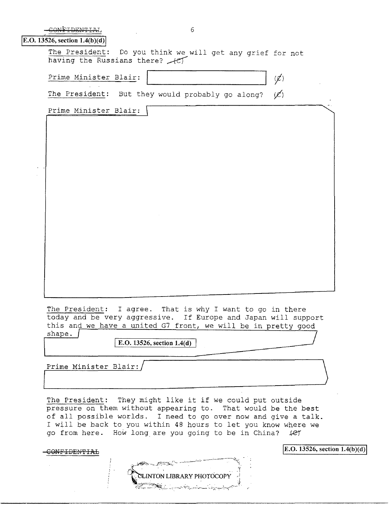|                                 | b                                                         |                 |
|---------------------------------|-----------------------------------------------------------|-----------------|
| E.O. 13526, section $1.4(b)(d)$ |                                                           |                 |
| having the Russians there? $+e$ | The President: Do you think we will get any grief for not |                 |
| Prime Minister Blair:           |                                                           |                 |
| The President:                  | But they would probably go along?                         | $(\mathcal{L})$ |

| $\mathcal{L}(\mathcal{L}^{\mathcal{L}})$ and $\mathcal{L}^{\mathcal{L}}$ are the set of the set of $\mathcal{L}^{\mathcal{L}}$ |
|--------------------------------------------------------------------------------------------------------------------------------|
|                                                                                                                                |
|                                                                                                                                |
|                                                                                                                                |
|                                                                                                                                |
|                                                                                                                                |
|                                                                                                                                |
|                                                                                                                                |
|                                                                                                                                |
|                                                                                                                                |
|                                                                                                                                |
|                                                                                                                                |
|                                                                                                                                |
|                                                                                                                                |
|                                                                                                                                |
|                                                                                                                                |
|                                                                                                                                |
|                                                                                                                                |
|                                                                                                                                |
|                                                                                                                                |
|                                                                                                                                |
|                                                                                                                                |
|                                                                                                                                |
|                                                                                                                                |
|                                                                                                                                |
|                                                                                                                                |
|                                                                                                                                |
|                                                                                                                                |
|                                                                                                                                |
|                                                                                                                                |
|                                                                                                                                |

The President: I agree. That is why I want to go in there today and be very aggressive. If Europe and Japan will support this and we have a united G7 front, we will be in pretty good shape. **Figure 1.2 CO** and the computation of the state of the state of the state of the state of the state of the state of the state of the state of the state of the state of the state of the state of the state of the sta

Prime Minister Blair:/ I

Prime Minister Blair:

The President: They might like it if we could put outside pressure on them without appearing to. That would be the best of all possible worlds. I need to go over now and give a talk. I will be back to you within 48 hours to let you know where we go from here. How long are you going to be in China? (et

CONFIDENTIAL

**EINTON LIBRARY PHOTOCOPY** 

,E.O. **13526, section 1.4(b)(d)j**